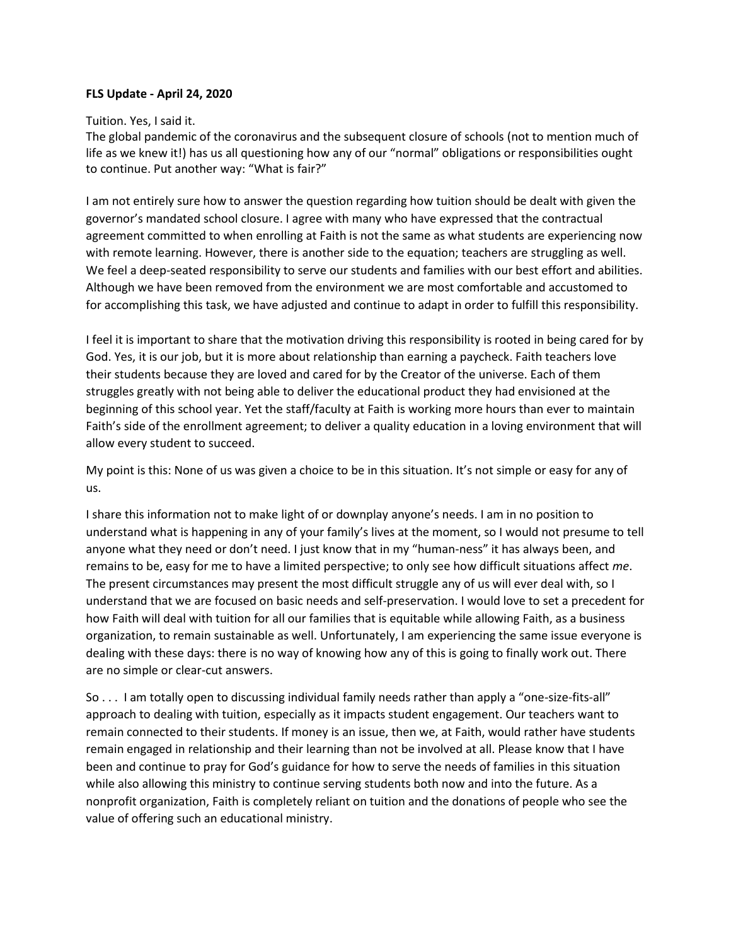#### **FLS Update - April 24, 2020**

Tuition. Yes, I said it.

The global pandemic of the coronavirus and the subsequent closure of schools (not to mention much of life as we knew it!) has us all questioning how any of our "normal" obligations or responsibilities ought to continue. Put another way: "What is fair?"

I am not entirely sure how to answer the question regarding how tuition should be dealt with given the governor's mandated school closure. I agree with many who have expressed that the contractual agreement committed to when enrolling at Faith is not the same as what students are experiencing now with remote learning. However, there is another side to the equation; teachers are struggling as well. We feel a deep-seated responsibility to serve our students and families with our best effort and abilities. Although we have been removed from the environment we are most comfortable and accustomed to for accomplishing this task, we have adjusted and continue to adapt in order to fulfill this responsibility.

I feel it is important to share that the motivation driving this responsibility is rooted in being cared for by God. Yes, it is our job, but it is more about relationship than earning a paycheck. Faith teachers love their students because they are loved and cared for by the Creator of the universe. Each of them struggles greatly with not being able to deliver the educational product they had envisioned at the beginning of this school year. Yet the staff/faculty at Faith is working more hours than ever to maintain Faith's side of the enrollment agreement; to deliver a quality education in a loving environment that will allow every student to succeed.

My point is this: None of us was given a choice to be in this situation. It's not simple or easy for any of us.

I share this information not to make light of or downplay anyone's needs. I am in no position to understand what is happening in any of your family's lives at the moment, so I would not presume to tell anyone what they need or don't need. I just know that in my "human-ness" it has always been, and remains to be, easy for me to have a limited perspective; to only see how difficult situations affect *me*. The present circumstances may present the most difficult struggle any of us will ever deal with, so I understand that we are focused on basic needs and self-preservation. I would love to set a precedent for how Faith will deal with tuition for all our families that is equitable while allowing Faith, as a business organization, to remain sustainable as well. Unfortunately, I am experiencing the same issue everyone is dealing with these days: there is no way of knowing how any of this is going to finally work out. There are no simple or clear-cut answers.

So . . . I am totally open to discussing individual family needs rather than apply a "one-size-fits-all" approach to dealing with tuition, especially as it impacts student engagement. Our teachers want to remain connected to their students. If money is an issue, then we, at Faith, would rather have students remain engaged in relationship and their learning than not be involved at all. Please know that I have been and continue to pray for God's guidance for how to serve the needs of families in this situation while also allowing this ministry to continue serving students both now and into the future. As a nonprofit organization, Faith is completely reliant on tuition and the donations of people who see the value of offering such an educational ministry.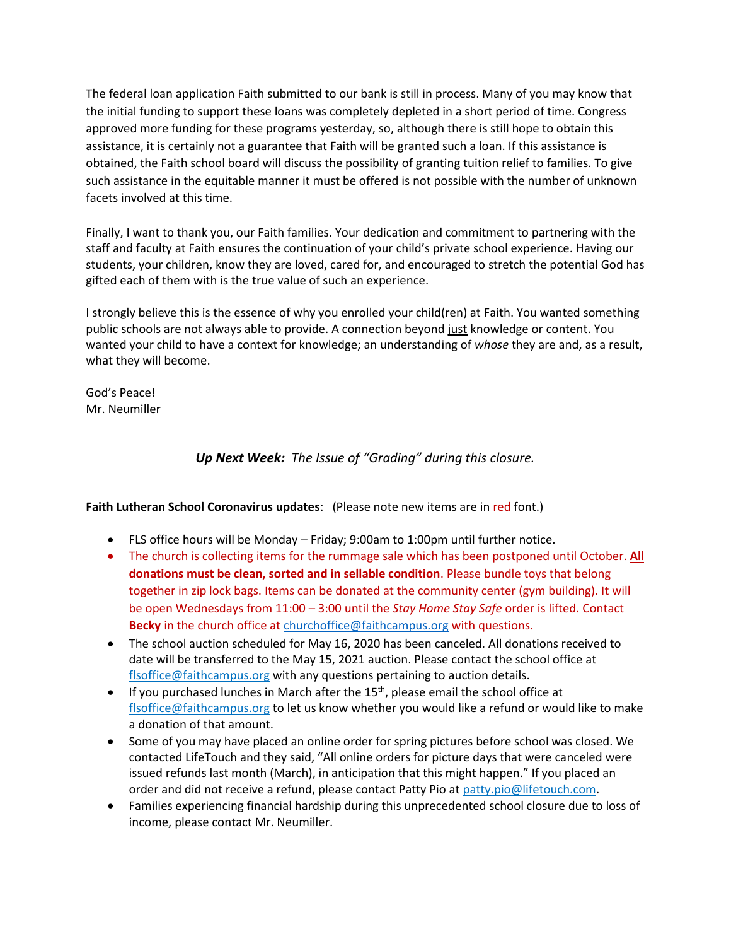The federal loan application Faith submitted to our bank is still in process. Many of you may know that the initial funding to support these loans was completely depleted in a short period of time. Congress approved more funding for these programs yesterday, so, although there is still hope to obtain this assistance, it is certainly not a guarantee that Faith will be granted such a loan. If this assistance is obtained, the Faith school board will discuss the possibility of granting tuition relief to families. To give such assistance in the equitable manner it must be offered is not possible with the number of unknown facets involved at this time.

Finally, I want to thank you, our Faith families. Your dedication and commitment to partnering with the staff and faculty at Faith ensures the continuation of your child's private school experience. Having our students, your children, know they are loved, cared for, and encouraged to stretch the potential God has gifted each of them with is the true value of such an experience.

I strongly believe this is the essence of why you enrolled your child(ren) at Faith. You wanted something public schools are not always able to provide. A connection beyond just knowledge or content. You wanted your child to have a context for knowledge; an understanding of *whose* they are and, as a result, what they will become.

God's Peace! Mr. Neumiller

*Up Next Week: The Issue of "Grading" during this closure.*

# **Faith Lutheran School Coronavirus updates**: (Please note new items are in red font.)

- FLS office hours will be Monday Friday; 9:00am to 1:00pm until further notice.
- The church is collecting items for the rummage sale which has been postponed until October. **All donations must be clean, sorted and in sellable condition**. Please bundle toys that belong together in zip lock bags. Items can be donated at the community center (gym building). It will be open Wednesdays from 11:00 – 3:00 until the *Stay Home Stay Safe* order is lifted. Contact **Becky** in the church office a[t churchoffice@faithcampus.org](mailto:churchoffice@faithcampus.org) with questions.
- The school auction scheduled for May 16, 2020 has been canceled. All donations received to date will be transferred to the May 15, 2021 auction. Please contact the school office at [flsoffice@faithcampus.org](mailto:flsoffice@faithcampus.org) with any questions pertaining to auction details.
- If you purchased lunches in March after the  $15<sup>th</sup>$ , please email the school office at [flsoffice@faithcampus.org](mailto:flsoffice@faithcampus.org) to let us know whether you would like a refund or would like to make a donation of that amount.
- Some of you may have placed an online order for spring pictures before school was closed. We contacted LifeTouch and they said, "All online orders for picture days that were canceled were issued refunds last month (March), in anticipation that this might happen." If you placed an order and did not receive a refund, please contact Patty Pio at [patty.pio@lifetouch.com.](mailto:patty.pio@lifetouch.com)
- Families experiencing financial hardship during this unprecedented school closure due to loss of income, please contact Mr. Neumiller.